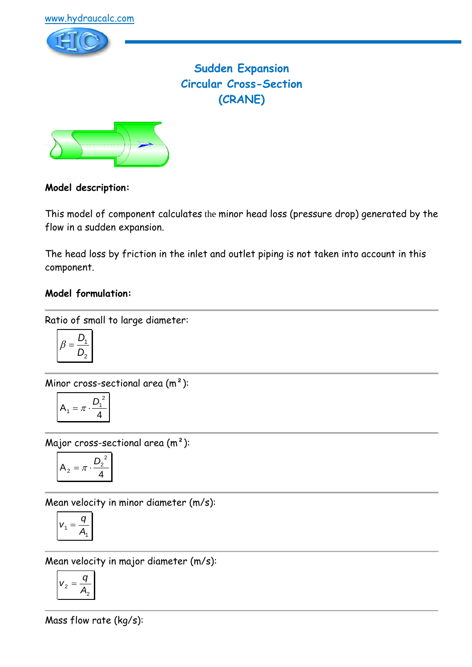

# **Sudden Expansion Circular Cross-Section (CRANE)**



### **Model description:**

This model of component calculates the minor head loss (pressure drop) generated by the flow in a sudden expansion.

The head loss by friction in the inlet and outlet piping is not taken into account in this component.

### **Model formulation:**

Ratio of small to large diameter:

$$
\beta = \frac{D_1}{D_2}
$$

Minor cross-sectional area (m²):

$$
A_1 = \pi \cdot \frac{D_1^2}{4}
$$

Major cross-sectional area (m²):

$$
A_2 = \pi \cdot \frac{D_2^2}{4}
$$

Mean velocity in minor diameter (m/s):

$$
V_1 = \frac{q}{A_1}
$$

Mean velocity in major diameter (m/s):

$$
v_2 = \frac{q}{A_2}
$$

Mass flow rate (kg/s):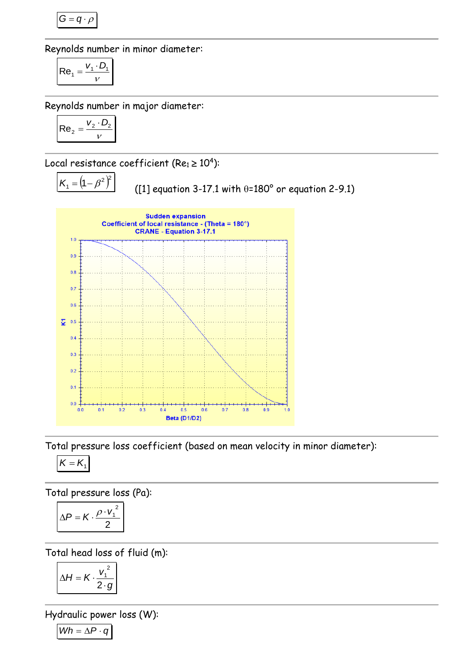$$
G=q\cdot \rho
$$

Reynolds number in minor diameter:

$$
\mathsf{Re}_1 = \frac{V_1 \cdot D_1}{V}
$$

Reynolds number in major diameter:

$$
\mathsf{Re}_2 = \frac{v_2 \cdot D_2}{v}
$$

Local resistance coefficient (Re $_1$   $\geq$   $10^4$ ):

$$
K_1 = (1 - \beta^2)^2
$$

([1] equation 3-17.1 with  $\theta$ =180° or equation 2-9.1)



Total pressure loss coefficient (based on mean velocity in minor diameter):

$$
K=K_1
$$

Total pressure loss (Pa):

$$
\Delta P = K \cdot \frac{\rho \cdot v_1^2}{2}
$$

Total head loss of fluid (m):

$$
\Delta H = K \cdot \frac{v_1^2}{2 \cdot g}
$$

Hydraulic power loss (W):

$$
Wh = \Delta P \cdot q
$$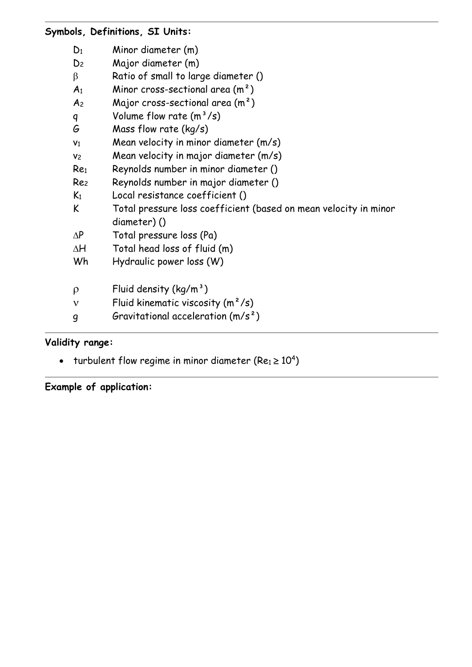|  | Symbols, Definitions, SI Units: |  |  |
|--|---------------------------------|--|--|
|  |                                 |  |  |

| Major diameter (m)<br>D <sub>2</sub><br>Ratio of small to large diameter ()<br>β<br>Minor cross-sectional area $(m2)$<br>A <sub>1</sub><br>Major cross-sectional area $(m^2)$<br>A <sub>2</sub> |  |
|-------------------------------------------------------------------------------------------------------------------------------------------------------------------------------------------------|--|
|                                                                                                                                                                                                 |  |
|                                                                                                                                                                                                 |  |
|                                                                                                                                                                                                 |  |
|                                                                                                                                                                                                 |  |
| Volume flow rate $(m^3/s)$<br>q                                                                                                                                                                 |  |
| Mass flow rate $(kq/s)$<br>G                                                                                                                                                                    |  |
| Mean velocity in minor diameter (m/s)<br>V <sub>1</sub>                                                                                                                                         |  |
| Mean velocity in major diameter (m/s)<br>V <sub>2</sub>                                                                                                                                         |  |
| Reynolds number in minor diameter ()<br>Re <sub>1</sub>                                                                                                                                         |  |
| Reynolds number in major diameter ()<br>Re <sub>2</sub>                                                                                                                                         |  |
| Local resistance coefficient ()<br>$K_1$                                                                                                                                                        |  |
| Total pressure loss coefficient (based on mean velocity in minor<br>K                                                                                                                           |  |
| diameter)()                                                                                                                                                                                     |  |
| Total pressure loss (Pa)<br>$\Delta P$                                                                                                                                                          |  |
| Total head loss of fluid (m)<br>ΔH                                                                                                                                                              |  |
| Wh<br>Hydraulic power loss (W)                                                                                                                                                                  |  |
| Fluid density $(kg/m^3)$<br>ρ                                                                                                                                                                   |  |
| Fluid kinematic viscosity $(m^2/s)$<br>$\mathbf v$                                                                                                                                              |  |
| Gravitational acceleration $(m/s^2)$<br>g                                                                                                                                                       |  |

# **Validity range:**

- turbulent flow regime in minor diameter (Re $_1$   $\geq$   $10^4)$ 

**Example of application:**